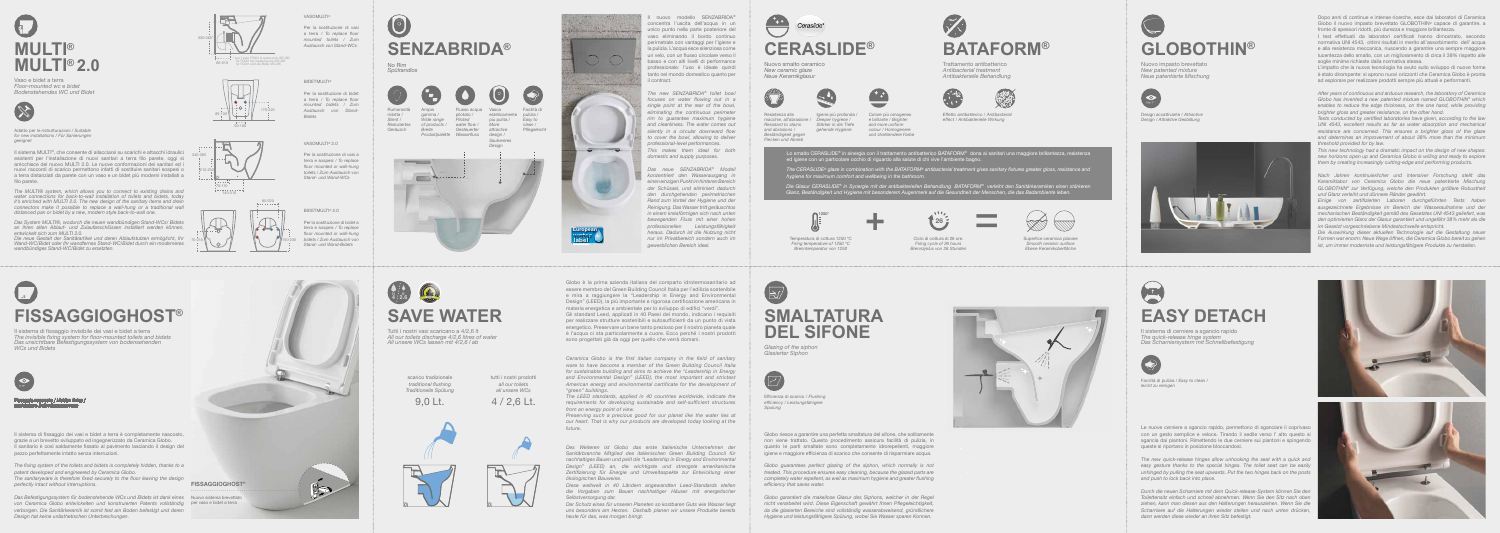*Flecken und Abrieb*





Resistenza alle macchie, all'abrasione / *Resistant to stains and abrasions* / *Beständigkeit gegen*  Igiene più profonda *Deeper hygiene* / *Stärker in die Tiefe gehende Hygiene*



*effect / Antibakterielle Wirkung* 

Colore più omogene e brillante / *Brighter and more uniform colour* / *Homogener und strahlendere Farbe*

Temperatura di cottura 1250 °C *Firing temperature of 1250 °C Brenntemperatur von 1250*

Superfice ceramica planare *Smooth ceramic surface Ebene Keramikoberfläche*



Nuovo smalto ceramico *New ceramic glaze Neue Keramikglasur*

**BATAFORM®**

Flusso acqua Vasca esteticamente più pulita / *More of products / water flow* / *attractive Gesteuerter design / Produktpalette Wasserfluss Wide range Piloted*  pilotato /







=



nuovo modello SENZABRIDA® concentra l'uscita dell'acqua in un unico punto nella parte posteriore del vaso eliminando il bordo continuo perimetrale con vantaggi per l'igiene e la pulizia. L'acqua esce silenziosa come un velo, con un flusso circolare verso il basso e con alti livelli di performance professionale: l'uso è ideale quindi tanto nel mondo domestico quanto per il contract.

Facilità di e pulizia / *Easy to clean / Pflegeleicht* 

Rumorosità ridotta / *Silent* / *Reduziertes Geräusch* Ampia gamma / *Breite* 



## **SENZABRIDA®**

No Rim *Spülrandlos*







*The new SENZABRIDA® toilet bowl focuses on water flowing out in a single point at the rear of the bowl, eliminating the continuous perimeter rim to guarantee maximum hygiene and cleanliness. The water comes out silently in a circular downward flow to cover the bowl, allowing to deliver professional-level performances. This makes them ideal for both domestic and supply purposes.*

*Das neue SENZABRIDA® Modell konzentriert den Wasserausgang in einen einzigen Punkt im hinteren Bereich der Schüssel, und eliminiert dadurch den durchgehenden perimetrischen Rand zum Vorteil der Hygiene und der Reinigung. Das Wasser tritt geräuschlos in einem kreisförmigen sich nach unten bewegenden Fluss mit einer hohen professionellen Leistungsfähigkeit heraus. Dadurch ist die Nutzung nicht nur im Privatbereich sondern auch im gewerblichen Bereich ideal.*





\* per il vaso FO001 le quote sono 355-385 *for FO001 the measures are 355-385 für FO001 sind die Maße 355-385* 60-210

Per la sostituzione di vasi a terra / *To replace floor mounted toilets / Zum Austausch von Stand-WCs* 

### **SERIES EASY DETACH**

Per la sostituzione di bidet a terra / *To replace floor mounted bidets / Zum Austausch von Stand-*

*Bidets*

VASOMULTI® 2.0

Per la sostituzione di vasi a terra e sospesi / *To replace floor mounted or wall-hung toilets / Zum Austausch von Stand- und Wand-WCs*

BIDETMULTI® 2.0

Per la sostituzione di bidet a terra e sospesi / *To replace floor mounted or wall-hung bidets / Zum Austausch von Stand- und Wand-Bidets*

Il sistema MULTI®, che consente di allacciarsi su scarichi e attacchi idraulici esistenti per l'installazione di nuovi sanitari a terra filo parete, oggi si arricchisce del nuovo MULTI 2.0. Le nuove conformazioni dei sanitari ed i nuovi raccordi di scarico permettono infatti di sostituire sanitari sospesi o a terra distanziati da parete con un vaso e un bidet più moderni installati a filo parete.

*The MULTI® system, which allows you to connect to existing drains and water connections for back-to-wall installation of toilets and bidets, today it's enriched with MULTI 2.0. The new design of the sanitary items and drain connectors make it possible to replace a wall-hung or a traditional wall distanced pan or bidet by a new, modern style back-to-wall one.* 

*Das System MULTI®, wodurch die neuen wandbündigen Stand-WCs/ Bidets an Ihren alten Ablauf- und Zulaufanschlüssen installiert werden können, entwickelt sich zum MULTI 2.0.* 

*Die neue Gestalt der Sanitärartikel und deren Ablaufstutzen ermöglicht, Ihr Wand-WC/Bidet oder Ihr wandfernes Stand-WC/Bidet durch ein moderneres wandbündiges Stand-WC/Bidet zu ersetzten.* 

## **MULTI® MULTI® 2.0**

Il sistema di fissaggio dei vasi e bidet a terra è completamente nascosto, grazie a un brevetto sviluppato ed ingegnerizzato da Ceramica Globo. Il sanitario è così saldamente fissato al pavimento lasciando il design del pezzo perfettamente intatto senza interruzioni.

*The fixing system of the toilets and bidets is completely hidden, thanks to a patent developed and engineered by Ceramica Globo.*

*The sanitaryware is therefore fixed securely to the floor leaving the design perfectly intact without interruptions.*

*Das Befestigungssystem für bodenstehende WCs und Bidets ist dank eines*  Nuovo sistema brevettato *von Ceramica Globo entwickelten und konstruierten Patents vollständig*  per vaso e bidet a terra *verborgen. Die Sanitärkeramik ist somit fest am Boden befestigt und deren Design hat keine unästhetischen Unterbrechungen.*

# **FISSAGGIOGHOST®**

Il sistema di fissaggio invisibile dei vasi e bidet a terra *The invisible fixing system for floor-mounted toilets and bidets Das unsichtbare Befestigungssystem von bodensehenden WCs und Bidets*



**26**

Vaso e bidet a terra *Floor-mounted wc e bidet Bodenstehendes WC und Bidet*



Adatto per le ristrutturazioni / *Suitable for new installations* / *Für Sanierungen geeignet*

> Il sistema di cerniere a sgancio rapido *The quick-release hinge system Das Scharniersystem mit Schnellbefestigung*



Facilità di pulizia / *Easy to clean / leicht zu reinigen*

Le nuove cerniere a sgancio rapido, permettono di sganciare il coprivaso con un gesto semplice e veloce. Tirando il sedile verso l' alto questo si sgancia dai piantoni. Rimettendo le due cerniere sui piantoni e spingendo queste si riportano in posizione bloccandosi.

*The new quick-release hinges allow unhooking the seat with a quick and easy gesture thanks to the special hinges. The toilet seat can be easily unhinged by pulling the seat upwards. Put the two hinges back on the posts and push to lock back into place.*

*Durch die neuen Scharniere mit dem Quick-release-System können Sie den Toilettensitz einfach und schnell abnehmen. Wenn Sie den Sitz nach oben ziehen, kann man diesen aus den Halterungen herausziehen. Wenn Sie die Scharniere auf die Halterungen wieder stellen und nach unten drücken, dann werden diese wieder an ihren Sitz befestigt.*





Lo smalto CERASLIDE® in sinergia con il trattamento antibatterico BATAFORM® dona ai sanitari una maggiore brillantezza, resistenza ed igiene con un particolare occhio di riguardo alla salute di chi vive l'ambiente bagno.

Globo è la prima azienda italiana del comparto idrotermosanitario ad essere membro del Green Building Council Italia per l'edilizia sostenibile e mira a raggiungere la "Leadership in Energy and Environmental Design" (LEED), la più importante e rigorosa certificazione americana in materia energetica e ambientale per lo sviluppo di edifici "verdi".



Gli standard Leed, applicati in 40 Paesi del mondo, indicano i requisiti per realizzare strutture sostenibili e autosufficienti da un punto di vista energetico. Preservare un bene tanto prezioso per il nostro pianeta quale è l'acqua ci sta particolarmente a cuore. Ecco perché i nostri prodotti sono progettati già da oggi per quello che verrà domani.

*Ceramica Globo is the first italian company in the field of sanitary ware to have become a member of the Green Building Council Italia for sustainable building and aims to achieve the "Leadership in Energy and Environmental Design" (LEED), the most important and strictest American energy and environmental certificate for the development of "green" buildings.* 

*The LEED standards, applied in 40 countries worldwide, indicate the requirements for developing sustainable and self-sufficient structures from an energy point of view.* 

*Preserving such a precious good for our planet like the water lies at our heart. That is why our products are developed today looking at the future.*

*Des Weiteren ist Globo das erste italienische Unternehmen der Sanitärbranche Mitglied des italienischen Green Building Council für nachhaltiges Bauen und peilt die "Leadership in Energy and Environmental Design" (LEED) an, die wichtigste und strengste amerikanische Zertifizierung für Energie und Umweltaspekte zur Entwicklung einer ökologischen Bauweise.* 

*Diese weltweit in 40 Ländern angewandten Leed-Standards stellen die Vorgaben zum Bauen nachhaltiger Häuser mit energetischer Selbstversorgung dar.* 

*Der Schutz eines für unseren Planeten so kostbaren Guts wie Wasser liegt uns besonders am Herzen. Deshalb planen wir unsere Produkte bereits heute für das, was morgen bringt.*

Tutti i nostri vasi scaricano a 4/2,6 lt *All our toilets discharge 4/2,6 litres of water All unsere WCs lassen mit 4/2,6 l ab*

> scarico tradizionale *traditional flushing Traditionelle Spülung*

*unsichtbare Befestigungssystem*



Nuovo impasto brevettato *New patented mixture Neue patentierte Mischung*



Design accattivante / *Attractive Design* / *Attraktive Gestaltung*



Dopo anni di continue e intense ricerche, esce dai laboratori di Ceramica Globo il nuovo impasto brevettato GLOBOTHIN® capace di garantire, a fronte di spessori ridotti, più durezza e maggiore brillantezza.

I test effettuati da laboratori certificati hanno dimostrato, secondo normativa UNI 4543, ottimi risultati in merito all'assorbimento dell' acqua e alla resistenza meccanica, riuscendo a garantire una sempre maggiore lucentezza dello smalto, con un miglioramento di circa il 38% rispetto alle soglie minime richieste dalla normativa stessa.

L'impatto che la nuova tecnologia ha avuto sullo sviluppo di nuove forme è stato dirompente: si aprono nuovi orizzonti che Ceramica Globo è pronta ad esplorare per realizzare prodotti sempre più attuali e performanti.

*After years of continuous and arduous research, the laboratory of Ceramica Globo has invented a new patented mixture named GLOBOTHIN*® *which enables to reduce the edge thickness, on the one hand, while providing brighter gloss and greater resistance, on the other hand.* 

*Tests conducted by certified laboratories have given, according to the law UNI 4543, excellent results as far as water absorption and mechanical resistance are concerned. This ensures a brighter gloss of the glaze and determines an improvement of about 38% more than the minimum threshold provided for by law.* 

*This new technology had a dramatic impact on the design of new shapes: new horizons open up and Ceramica Globo is willing and ready to explore them by creating increasingly cutting-edge and performing products.* 

*Nach Jahren kontinuierlicher und intensiver Forschung stellt das Keramiklabor von Ceramica Globo die neue patentierte Mischung GLOBOTHIN*® *zur Verfügung, welche den Produkten größere Robustheit und Glanz verleiht und dünnere Ränder gewährt.* 

#### **<sup>4</sup> lt lt 2.6 SAVE WATER**

*Einige von zertifizierten Laboren durchgeführten Tests haben ausgezeichnete Ergebnisse im Bereich der Wasseraufnahme und der mechanischen Beständigkeit gemäß des Gesetztes UNI 4543 geliefert, was den optimierten Glanz der Glasur garantiert und ungefähr 38% mehr als die im Gesetzt vorgeschriebene Mindestschwelle entspricht.* 

*Die Auswirkung dieser aktuellen Technologie auf die Gestaltung neuer Formen war enorm: Neue Wege öffnen, die Ceramica Globo bereit zu gehen ist, um immer modernste und leistungsfähigere Produkte zu herstellen.* 



*Glazing of the siphon Glasierter Siphon* 



Efficienza di scarico / *Flushing efficiency / Leistungsfahigere Spulung*

Globo riesce a garantire una perfetta smaltatura del sifone, che solitamente non viene trattato. Questo procedimento assicura facilità di pulizia, in quanto le parti smaltate sono completamente idrorepellenti, maggiore igiene e maggiore efficienza di scarico che consente di risparmiare acqua.

*Globo guarantees perfect glazing of the siphon, which normally is not treated. This procedure ensures easy cleaning, because the glazed parts are completely water repellent, as well as maximum hygiene and greater flushing efficiency that saves water.*

*Globo garantiert die makellose Glasur des Siphons, welcher in der Regel nicht verarbeitet wird. Diese Eigenschaft gewährt Ihnen Pflegeleichtigkeit, da die glasierten Bereiche sind vollständig wasserabweisend, gründlichere Hygiene und leistungsfähigere Spülung, wobei Sie Wasser sparen Konnen.*



tutti i nostri prodotti *all our toilets all unsere WCs*

4 / 2,6 Lt.





*The CERASLIDE® glaze in combination with the BATAFORM® antibacterial treatment gives sanitary fixtures greater gloss, resistance and hygiene for maximum comfort and wellbeing in the bathroom.*

*Die Glasur CERASLIDE® in Synergie mit der antibakteriellen Behandlung BATAFORM® verleiht den Sanitärkeramiken einen stärkeren Glanz, Beständigkeit und Hygiene mit besonderem Augenmerk auf die Gesundheit der Menschen, die das Badambiente leben.* 





#### VASOMULTI®

**BIDETMULTI®** 

Trattamento antibatterico *Antibacterial treatment Antibakterielle Behandlung*

 $\widetilde{\mathcal{V}}$